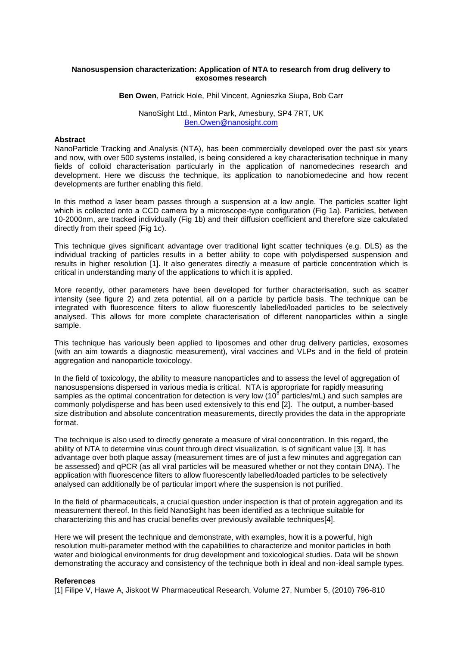# **Nanosuspension characterization: Application of NTA to research from drug delivery to exosomes research**

**Ben Owen**, Patrick Hole, Phil Vincent, Agnieszka Siupa, Bob Carr

## NanoSight Ltd., Minton Park, Amesbury, SP4 7RT, UK [Ben.Owen@nanosight.com](mailto:Ben.Owen@nanosight.com)

## **Abstract**

NanoParticle Tracking and Analysis (NTA), has been commercially developed over the past six years and now, with over 500 systems installed, is being considered a key characterisation technique in many fields of colloid characterisation particularly in the application of nanomedecines research and development. Here we discuss the technique, its application to nanobiomedecine and how recent developments are further enabling this field.

In this method a laser beam passes through a suspension at a low angle. The particles scatter light which is collected onto a CCD camera by a microscope-type configuration (Fig 1a). Particles, between 10-2000nm, are tracked individually (Fig 1b) and their diffusion coefficient and therefore size calculated directly from their speed (Fig 1c).

This technique gives significant advantage over traditional light scatter techniques (e.g. DLS) as the individual tracking of particles results in a better ability to cope with polydispersed suspension and results in higher resolution [1]. It also generates directly a measure of particle concentration which is critical in understanding many of the applications to which it is applied.

More recently, other parameters have been developed for further characterisation, such as scatter intensity (see figure 2) and zeta potential, all on a particle by particle basis. The technique can be integrated with fluorescence filters to allow fluorescently labelled/loaded particles to be selectively analysed. This allows for more complete characterisation of different nanoparticles within a single sample.

This technique has variously been applied to liposomes and other drug delivery particles, exosomes (with an aim towards a diagnostic measurement), viral vaccines and VLPs and in the field of protein aggregation and nanoparticle toxicology.

In the field of toxicology, the ability to measure nanoparticles and to assess the level of aggregation of nanosuspensions dispersed in various media is critical. NTA is appropriate for rapidly measuring samples as the optimal concentration for detection is very low (10<sup>8</sup> particles/mL) and such samples are commonly polydisperse and has been used extensively to this end [2]. The output, a number-based size distribution and absolute concentration measurements, directly provides the data in the appropriate format.

The technique is also used to directly generate a measure of viral concentration. In this regard, the ability of NTA to determine virus count through direct visualization, is of significant value [3]. It has advantage over both plaque assay (measurement times are of just a few minutes and aggregation can be assessed) and qPCR (as all viral particles will be measured whether or not they contain DNA). The application with fluorescence filters to allow fluorescently labelled/loaded particles to be selectively analysed can additionally be of particular import where the suspension is not purified.

In the field of pharmaceuticals, a crucial question under inspection is that of protein aggregation and its measurement thereof. In this field NanoSight has been identified as a technique suitable for characterizing this and has crucial benefits over previously available techniques[4].

Here we will present the technique and demonstrate, with examples, how it is a powerful, high resolution multi-parameter method with the capabilities to characterize and monitor particles in both water and biological environments for drug development and toxicological studies. Data will be shown demonstrating the accuracy and consistency of the technique both in ideal and non-ideal sample types.

## **References**

[1] Filipe V, Hawe A, Jiskoot W Pharmaceutical Research, Volume 27, Number 5, (2010) 796-810